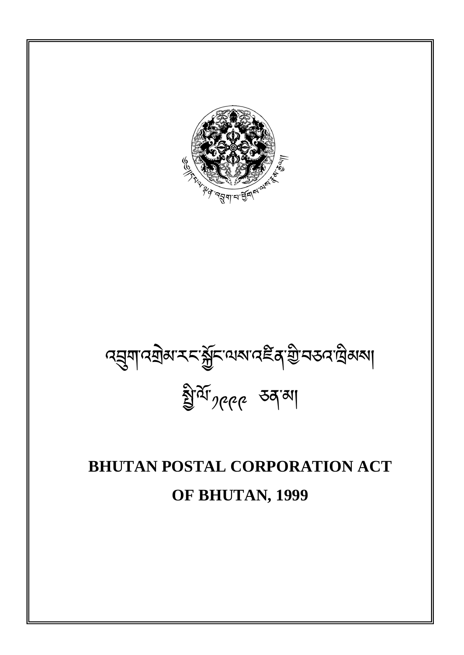# **BHUTAN POSTAL CORPORATION ACT OF BHUTAN, 1999**

વક્ષુત્રાવસોઅર્વ્યજ્ઞેદિવ્યજ્ઞવદ્દૈક્ષ<sup>્</sup>ગ્રીન્ન્ડવાલેઅર્ગા ষ্ট্ৰাৰ্ম<sub>'</sub> <sub>পৃ</sub>ূত্ৰৰ কৰ্মৰা

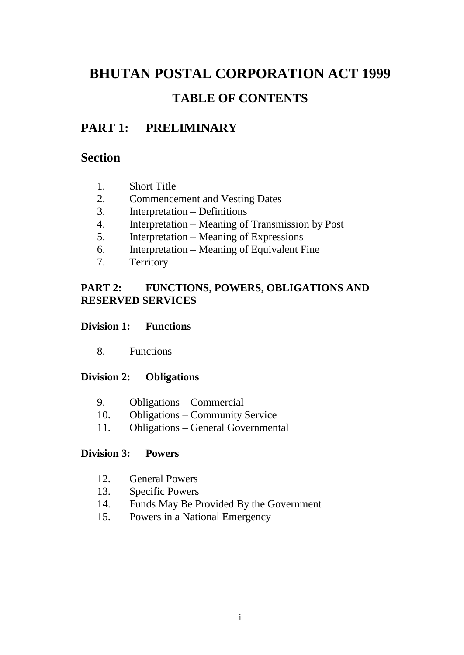## **BHUTAN POSTAL CORPORATION ACT 1999 TABLE OF CONTENTS**

## **PART 1: PRELIMINARY**

## **Section**

- 1. Short Title
- 2. Commencement and Vesting Dates
- 3. Interpretation Definitions
- 4. Interpretation Meaning of Transmission by Post
- 5. Interpretation Meaning of Expressions
- 6. Interpretation Meaning of Equivalent Fine
- 7. Territory

## **PART 2: FUNCTIONS, POWERS, OBLIGATIONS AND RESERVED SERVICES**

## **Division 1: Functions**

8. Functions

## **Division 2: Obligations**

- 9. Obligations Commercial
- 10. Obligations Community Service
- 11. Obligations General Governmental

## **Division 3: Powers**

- 12. General Powers
- 13. Specific Powers
- 14. Funds May Be Provided By the Government
- 15. Powers in a National Emergency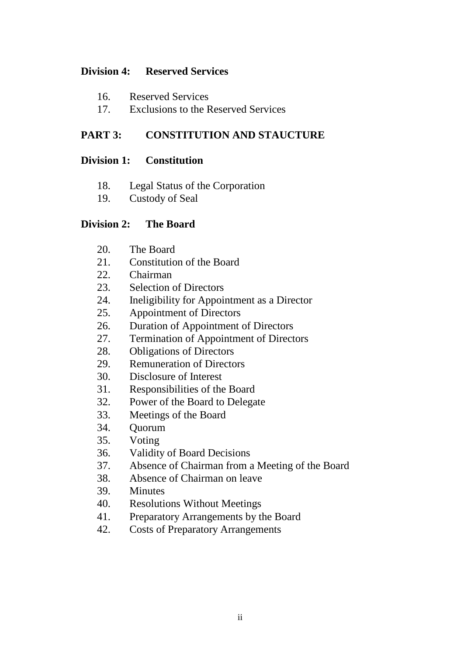## **Division 4: Reserved Services**

- 16. Reserved Services
- 17. Exclusions to the Reserved Services

## **PART 3: CONSTITUTION AND STAUCTURE**

#### **Division 1: Constitution**

- 18. Legal Status of the Corporation
- 19. Custody of Seal

#### **Division 2: The Board**

- 20. The Board
- 21. Constitution of the Board
- 22. Chairman
- 23. Selection of Directors
- 24. Ineligibility for Appointment as a Director
- 25. Appointment of Directors
- 26. Duration of Appointment of Directors
- 27. Termination of Appointment of Directors
- 28. Obligations of Directors
- 29. Remuneration of Directors
- 30. Disclosure of Interest
- 31. Responsibilities of the Board
- 32. Power of the Board to Delegate
- 33. Meetings of the Board
- 34. Quorum
- 35. Voting
- 36. Validity of Board Decisions
- 37. Absence of Chairman from a Meeting of the Board
- 38. Absence of Chairman on leave
- 39. Minutes
- 40. Resolutions Without Meetings
- 41. Preparatory Arrangements by the Board
- 42. Costs of Preparatory Arrangements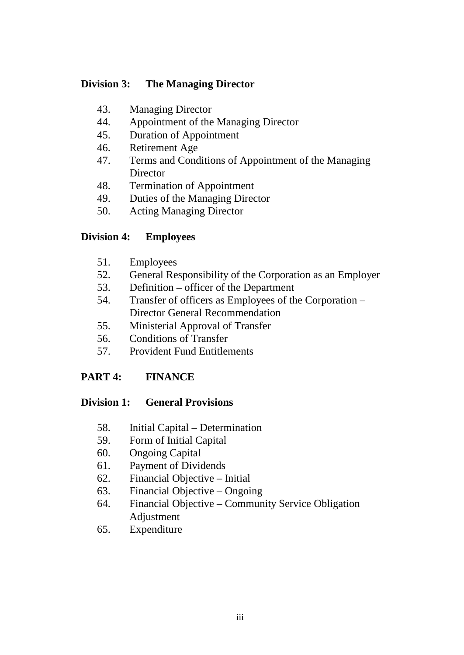#### **Division 3: The Managing Director**

- 43. Managing Director
- 44. Appointment of the Managing Director
- 45. Duration of Appointment
- 46. Retirement Age
- 47. Terms and Conditions of Appointment of the Managing **Director**
- 48. Termination of Appointment
- 49. Duties of the Managing Director
- 50. Acting Managing Director

## **Division 4: Employees**

- 51. Employees
- 52. General Responsibility of the Corporation as an Employer
- 53. Definition officer of the Department
- 54. Transfer of officers as Employees of the Corporation Director General Recommendation
- 55. Ministerial Approval of Transfer
- 56. Conditions of Transfer
- 57. Provident Fund Entitlements

## **PART 4: FINANCE**

## **Division 1: General Provisions**

- 58. Initial Capital Determination
- 59. Form of Initial Capital
- 60. Ongoing Capital
- 61. Payment of Dividends
- 62. Financial Objective Initial
- 63. Financial Objective Ongoing
- 64. Financial Objective Community Service Obligation Adjustment
- 65. Expenditure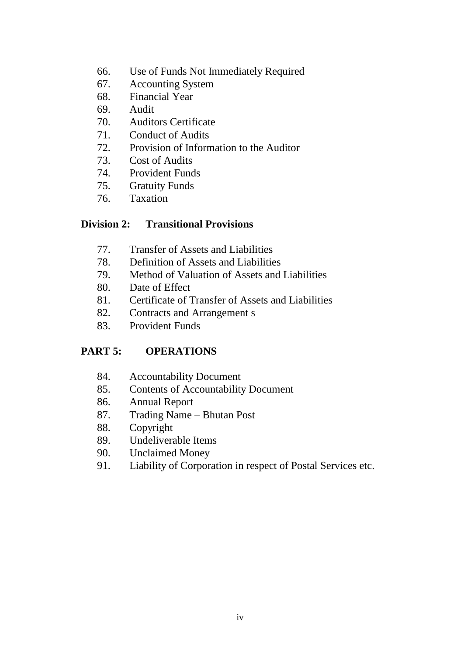- 66. Use of Funds Not Immediately Required
- 67. Accounting System
- 68. Financial Year
- 69. Audit
- 70. Auditors Certificate
- 71. Conduct of Audits
- 72. Provision of Information to the Auditor
- 73. Cost of Audits
- 74. Provident Funds
- 75. Gratuity Funds
- 76. Taxation

#### **Division 2: Transitional Provisions**

- 77. Transfer of Assets and Liabilities
- 78. Definition of Assets and Liabilities
- 79. Method of Valuation of Assets and Liabilities
- 80. Date of Effect
- 81. Certificate of Transfer of Assets and Liabilities
- 82. Contracts and Arrangement s
- 83. Provident Funds

## **PART 5: OPERATIONS**

- 84. Accountability Document
- 85. Contents of Accountability Document
- 86. Annual Report
- 87. Trading Name Bhutan Post
- 88. Copyright
- 89. Undeliverable Items
- 90. Unclaimed Money
- 91. Liability of Corporation in respect of Postal Services etc.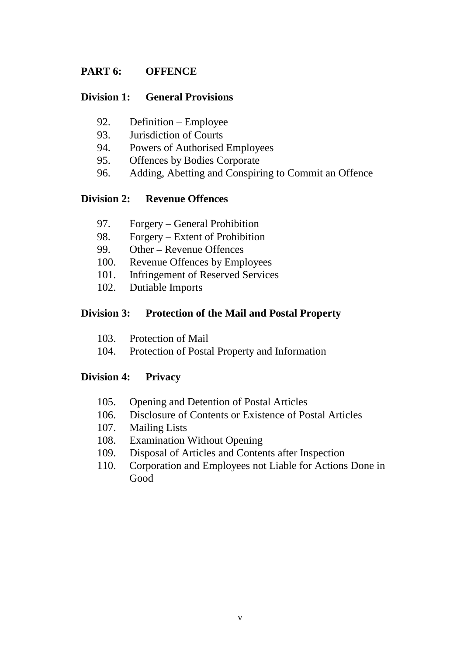## **PART 6: OFFENCE**

#### **Division 1: General Provisions**

- 92. Definition Employee
- 93. Jurisdiction of Courts
- 94. Powers of Authorised Employees
- 95. Offences by Bodies Corporate
- 96. Adding, Abetting and Conspiring to Commit an Offence

#### **Division 2: Revenue Offences**

- 97. Forgery General Prohibition
- 98. Forgery Extent of Prohibition
- 99. Other Revenue Offences
- 100. Revenue Offences by Employees
- 101. Infringement of Reserved Services
- 102. Dutiable Imports

#### **Division 3: Protection of the Mail and Postal Property**

- 103. Protection of Mail
- 104. Protection of Postal Property and Information

## **Division 4: Privacy**

- 105. Opening and Detention of Postal Articles
- 106. Disclosure of Contents or Existence of Postal Articles
- 107. Mailing Lists
- 108. Examination Without Opening
- 109. Disposal of Articles and Contents after Inspection
- 110. Corporation and Employees not Liable for Actions Done in Good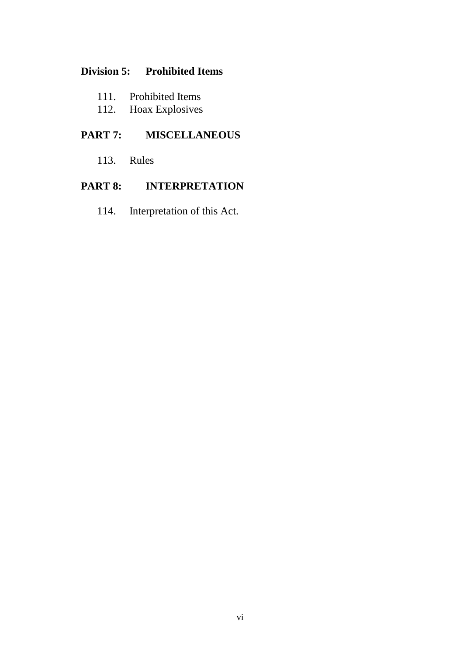## **Division 5: Prohibited Items**

- 111. Prohibited Items<br>112. Hoax Explosives
- Hoax Explosives

## **PART 7: MISCELLANEOUS**

113. Rules

## **PART 8: INTERPRETATION**

114. Interpretation of this Act.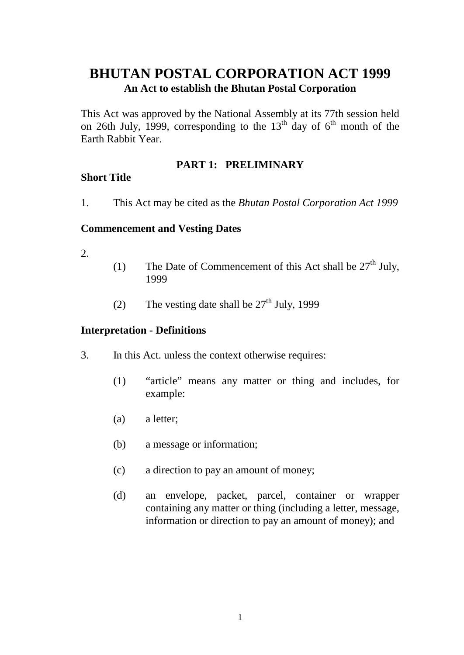## **BHUTAN POSTAL CORPORATION ACT 1999 An Act to establish the Bhutan Postal Corporation**

This Act was approved by the National Assembly at its 77th session held on 26th July, 1999, corresponding to the  $13<sup>th</sup>$  day of  $6<sup>th</sup>$  month of the Earth Rabbit Year.

## **PART 1: PRELIMINARY**

#### **Short Title**

1. This Act may be cited as the *Bhutan Postal Corporation Act 1999* 

#### **Commencement and Vesting Dates**

- 2.
- (1) The Date of Commencement of this Act shall be  $27<sup>th</sup>$  July, 1999
- (2) The vesting date shall be  $27<sup>th</sup>$  July, 1999

#### **Interpretation - Definitions**

- 3. In this Act. unless the context otherwise requires:
	- (1) "article" means any matter or thing and includes, for example:
	- (a) a letter;
	- (b) a message or information;
	- (c) a direction to pay an amount of money;
	- (d) an envelope, packet, parcel, container or wrapper containing any matter or thing (including a letter, message, information or direction to pay an amount of money); and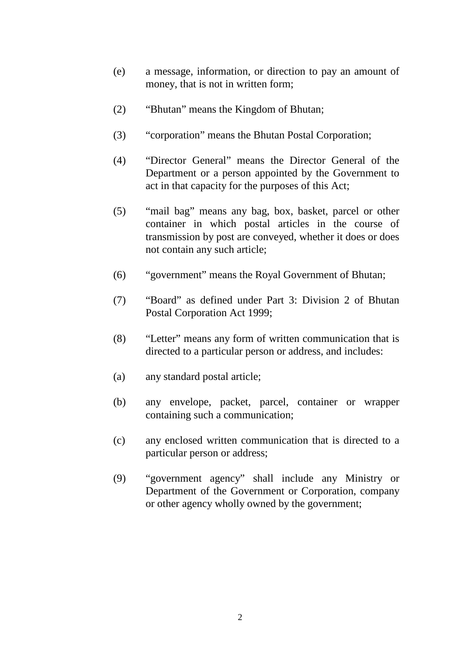- (e) a message, information, or direction to pay an amount of money, that is not in written form;
- (2) "Bhutan" means the Kingdom of Bhutan;
- (3) "corporation" means the Bhutan Postal Corporation;
- (4) "Director General" means the Director General of the Department or a person appointed by the Government to act in that capacity for the purposes of this Act;
- (5) "mail bag" means any bag, box, basket, parcel or other container in which postal articles in the course of transmission by post are conveyed, whether it does or does not contain any such article;
- (6) "government" means the Royal Government of Bhutan;
- (7) "Board" as defined under Part 3: Division 2 of Bhutan Postal Corporation Act 1999;
- (8) "Letter" means any form of written communication that is directed to a particular person or address, and includes:
- (a) any standard postal article;
- (b) any envelope, packet, parcel, container or wrapper containing such a communication;
- (c) any enclosed written communication that is directed to a particular person or address;
- (9) "government agency" shall include any Ministry or Department of the Government or Corporation, company or other agency wholly owned by the government;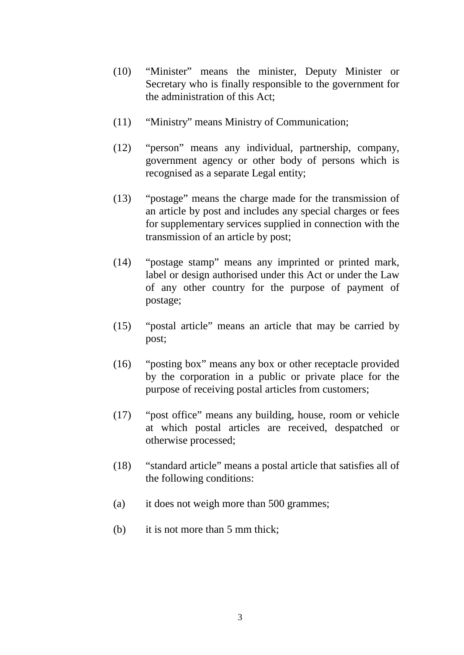- (10) "Minister" means the minister, Deputy Minister or Secretary who is finally responsible to the government for the administration of this Act;
- (11) "Ministry" means Ministry of Communication;
- (12) "person" means any individual, partnership, company, government agency or other body of persons which is recognised as a separate Legal entity;
- (13) "postage" means the charge made for the transmission of an article by post and includes any special charges or fees for supplementary services supplied in connection with the transmission of an article by post;
- (14) "postage stamp" means any imprinted or printed mark, label or design authorised under this Act or under the Law of any other country for the purpose of payment of postage;
- (15) "postal article" means an article that may be carried by post;
- (16) "posting box" means any box or other receptacle provided by the corporation in a public or private place for the purpose of receiving postal articles from customers;
- (17) "post office" means any building, house, room or vehicle at which postal articles are received, despatched or otherwise processed;
- (18) "standard article" means a postal article that satisfies all of the following conditions:
- (a) it does not weigh more than 500 grammes;
- (b) it is not more than 5 mm thick;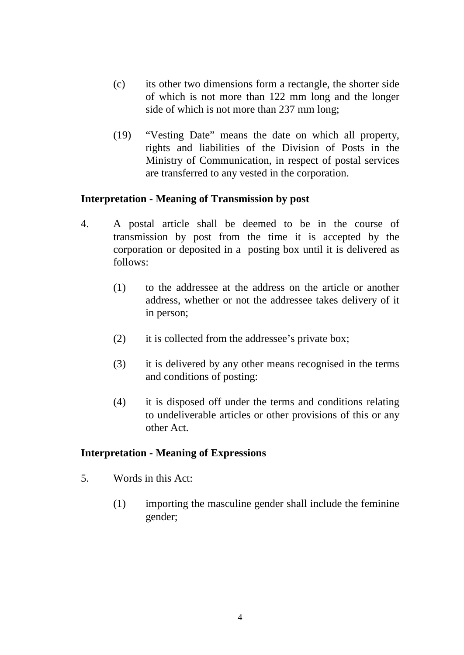- (c) its other two dimensions form a rectangle, the shorter side of which is not more than 122 mm long and the longer side of which is not more than 237 mm long;
- (19) "Vesting Date" means the date on which all property, rights and liabilities of the Division of Posts in the Ministry of Communication, in respect of postal services are transferred to any vested in the corporation.

#### **Interpretation - Meaning of Transmission by post**

- 4. A postal article shall be deemed to be in the course of transmission by post from the time it is accepted by the corporation or deposited in a posting box until it is delivered as follows:
	- (1) to the addressee at the address on the article or another address, whether or not the addressee takes delivery of it in person;
	- (2) it is collected from the addressee's private box;
	- (3) it is delivered by any other means recognised in the terms and conditions of posting:
	- (4) it is disposed off under the terms and conditions relating to undeliverable articles or other provisions of this or any other Act.

## **Interpretation - Meaning of Expressions**

- 5. Words in this Act:
	- (1) importing the masculine gender shall include the feminine gender;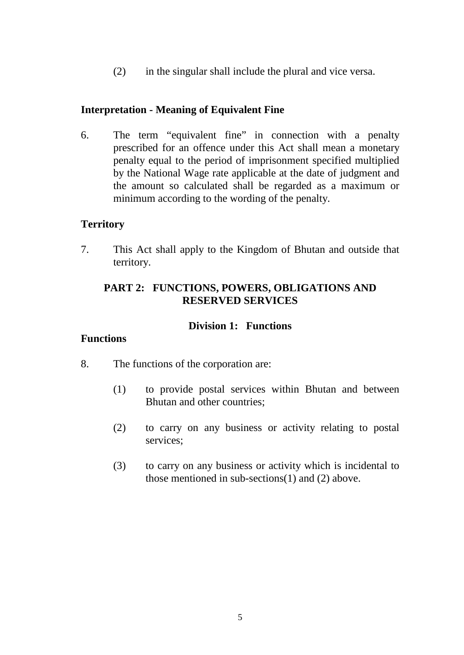(2) in the singular shall include the plural and vice versa.

## **Interpretation - Meaning of Equivalent Fine**

6. The term "equivalent fine" in connection with a penalty prescribed for an offence under this Act shall mean a monetary penalty equal to the period of imprisonment specified multiplied by the National Wage rate applicable at the date of judgment and the amount so calculated shall be regarded as a maximum or minimum according to the wording of the penalty.

## **Territory**

7. This Act shall apply to the Kingdom of Bhutan and outside that territory.

## **PART 2: FUNCTIONS, POWERS, OBLIGATIONS AND RESERVED SERVICES**

#### **Division 1: Functions**

#### **Functions**

- 8. The functions of the corporation are:
	- (1) to provide postal services within Bhutan and between Bhutan and other countries;
	- (2) to carry on any business or activity relating to postal services;
	- (3) to carry on any business or activity which is incidental to those mentioned in sub-sections(1) and (2) above.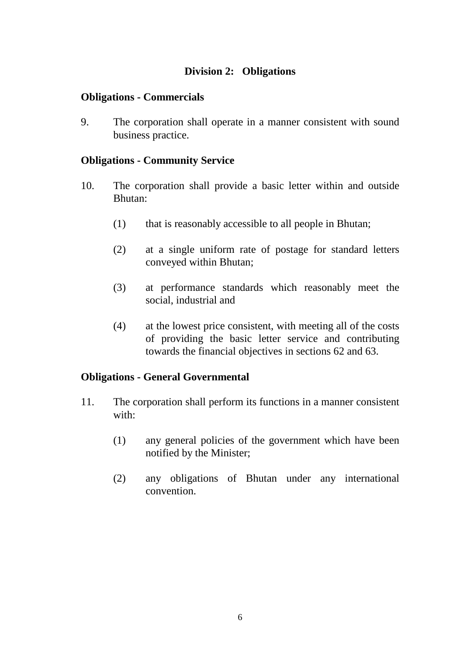## **Division 2: Obligations**

#### **Obligations - Commercials**

9. The corporation shall operate in a manner consistent with sound business practice.

#### **Obligations - Community Service**

- 10. The corporation shall provide a basic letter within and outside Bhutan:
	- (1) that is reasonably accessible to all people in Bhutan;
	- (2) at a single uniform rate of postage for standard letters conveyed within Bhutan;
	- (3) at performance standards which reasonably meet the social, industrial and
	- (4) at the lowest price consistent, with meeting all of the costs of providing the basic letter service and contributing towards the financial objectives in sections 62 and 63.

## **Obligations - General Governmental**

- 11. The corporation shall perform its functions in a manner consistent with:
	- (1) any general policies of the government which have been notified by the Minister;
	- (2) any obligations of Bhutan under any international convention.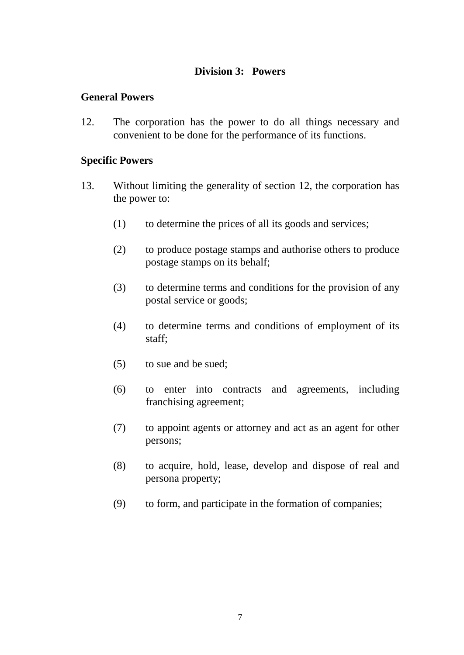## **Division 3: Powers**

#### **General Powers**

12. The corporation has the power to do all things necessary and convenient to be done for the performance of its functions.

#### **Specific Powers**

- 13. Without limiting the generality of section 12, the corporation has the power to:
	- (1) to determine the prices of all its goods and services;
	- (2) to produce postage stamps and authorise others to produce postage stamps on its behalf;
	- (3) to determine terms and conditions for the provision of any postal service or goods;
	- (4) to determine terms and conditions of employment of its staff;
	- (5) to sue and be sued;
	- (6) to enter into contracts and agreements, including franchising agreement;
	- (7) to appoint agents or attorney and act as an agent for other persons;
	- (8) to acquire, hold, lease, develop and dispose of real and persona property;
	- (9) to form, and participate in the formation of companies;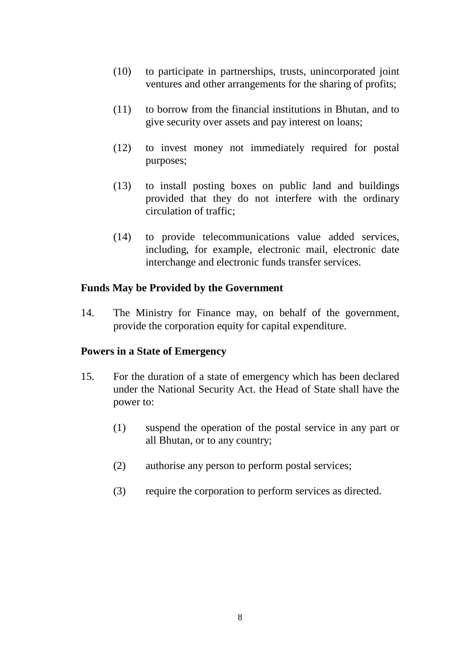- (10) to participate in partnerships, trusts, unincorporated joint ventures and other arrangements for the sharing of profits;
- (11) to borrow from the financial institutions in Bhutan, and to give security over assets and pay interest on loans;
- (12) to invest money not immediately required for postal purposes;
- (13) to install posting boxes on public land and buildings provided that they do not interfere with the ordinary circulation of traffic;
- (14) to provide telecommunications value added services, including, for example, electronic mail, electronic date interchange and electronic funds transfer services.

## **Funds May be Provided by the Government**

14. The Ministry for Finance may, on behalf of the government, provide the corporation equity for capital expenditure.

## **Powers in a State of Emergency**

- 15. For the duration of a state of emergency which has been declared under the National Security Act. the Head of State shall have the power to:
	- (1) suspend the operation of the postal service in any part or all Bhutan, or to any country;
	- (2) authorise any person to perform postal services;
	- (3) require the corporation to perform services as directed.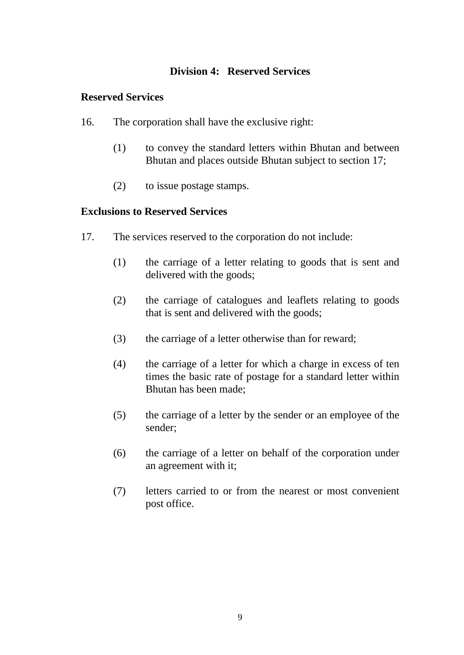## **Division 4: Reserved Services**

#### **Reserved Services**

- 16. The corporation shall have the exclusive right:
	- (1) to convey the standard letters within Bhutan and between Bhutan and places outside Bhutan subject to section 17;
	- (2) to issue postage stamps.

#### **Exclusions to Reserved Services**

- 17. The services reserved to the corporation do not include:
	- (1) the carriage of a letter relating to goods that is sent and delivered with the goods;
	- (2) the carriage of catalogues and leaflets relating to goods that is sent and delivered with the goods;
	- (3) the carriage of a letter otherwise than for reward;
	- (4) the carriage of a letter for which a charge in excess of ten times the basic rate of postage for a standard letter within Bhutan has been made;
	- (5) the carriage of a letter by the sender or an employee of the sender;
	- (6) the carriage of a letter on behalf of the corporation under an agreement with it;
	- (7) letters carried to or from the nearest or most convenient post office.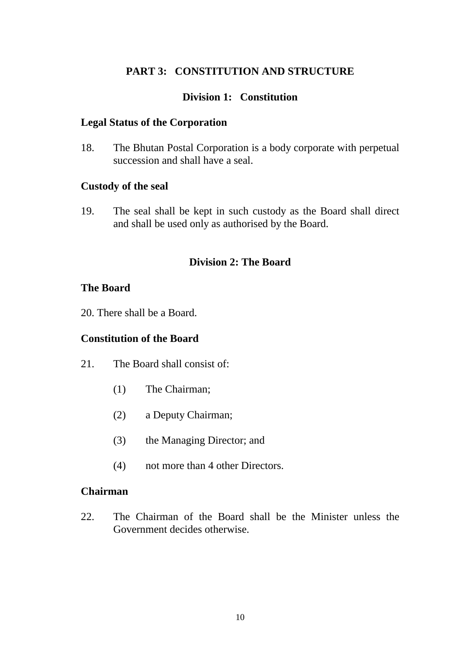## **PART 3: CONSTITUTION AND STRUCTURE**

#### **Division 1: Constitution**

#### **Legal Status of the Corporation**

18. The Bhutan Postal Corporation is a body corporate with perpetual succession and shall have a seal.

#### **Custody of the seal**

19. The seal shall be kept in such custody as the Board shall direct and shall be used only as authorised by the Board.

#### **Division 2: The Board**

#### **The Board**

20. There shall be a Board.

#### **Constitution of the Board**

- 21. The Board shall consist of:
	- (1) The Chairman;
	- (2) a Deputy Chairman;
	- (3) the Managing Director; and
	- (4) not more than 4 other Directors.

#### **Chairman**

22. The Chairman of the Board shall be the Minister unless the Government decides otherwise.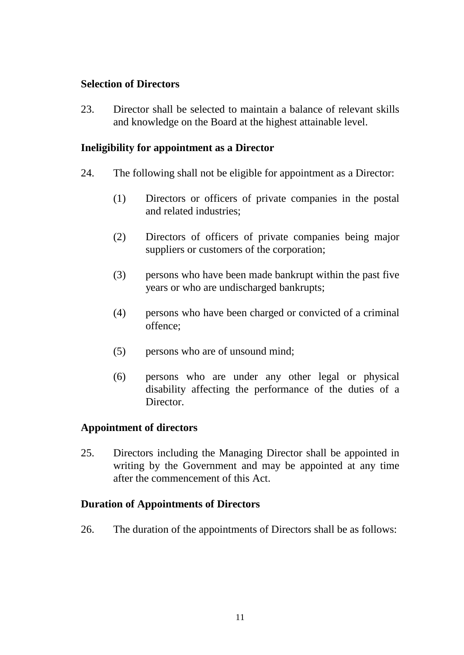## **Selection of Directors**

23. Director shall be selected to maintain a balance of relevant skills and knowledge on the Board at the highest attainable level.

#### **Ineligibility for appointment as a Director**

- 24. The following shall not be eligible for appointment as a Director:
	- (1) Directors or officers of private companies in the postal and related industries;
	- (2) Directors of officers of private companies being major suppliers or customers of the corporation;
	- (3) persons who have been made bankrupt within the past five years or who are undischarged bankrupts;
	- (4) persons who have been charged or convicted of a criminal offence;
	- (5) persons who are of unsound mind;
	- (6) persons who are under any other legal or physical disability affecting the performance of the duties of a Director.

#### **Appointment of directors**

25. Directors including the Managing Director shall be appointed in writing by the Government and may be appointed at any time after the commencement of this Act.

#### **Duration of Appointments of Directors**

26. The duration of the appointments of Directors shall be as follows: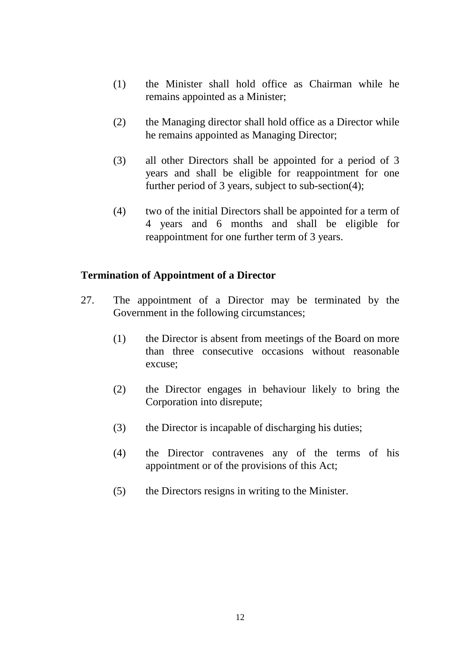- (1) the Minister shall hold office as Chairman while he remains appointed as a Minister;
- (2) the Managing director shall hold office as a Director while he remains appointed as Managing Director;
- (3) all other Directors shall be appointed for a period of 3 years and shall be eligible for reappointment for one further period of 3 years, subject to sub-section(4);
- (4) two of the initial Directors shall be appointed for a term of 4 years and 6 months and shall be eligible for reappointment for one further term of 3 years.

## **Termination of Appointment of a Director**

- 27. The appointment of a Director may be terminated by the Government in the following circumstances;
	- (1) the Director is absent from meetings of the Board on more than three consecutive occasions without reasonable excuse;
	- (2) the Director engages in behaviour likely to bring the Corporation into disrepute;
	- (3) the Director is incapable of discharging his duties;
	- (4) the Director contravenes any of the terms of his appointment or of the provisions of this Act;
	- (5) the Directors resigns in writing to the Minister.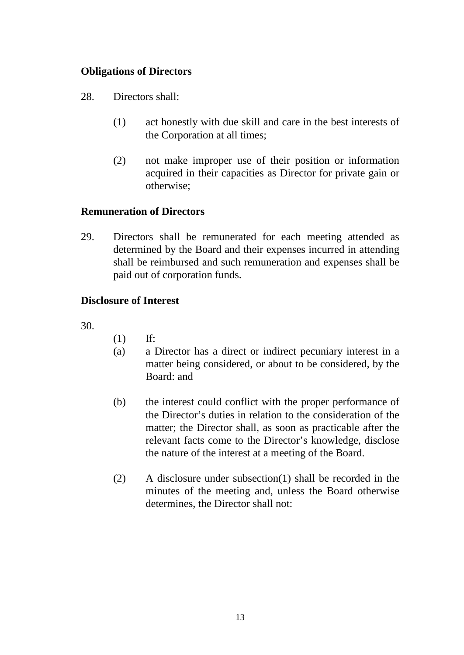## **Obligations of Directors**

- 28. Directors shall:
	- (1) act honestly with due skill and care in the best interests of the Corporation at all times;
	- (2) not make improper use of their position or information acquired in their capacities as Director for private gain or otherwise;

#### **Remuneration of Directors**

29. Directors shall be remunerated for each meeting attended as determined by the Board and their expenses incurred in attending shall be reimbursed and such remuneration and expenses shall be paid out of corporation funds.

## **Disclosure of Interest**

30.

- (1) If:
- (a) a Director has a direct or indirect pecuniary interest in a matter being considered, or about to be considered, by the Board: and
- (b) the interest could conflict with the proper performance of the Director's duties in relation to the consideration of the matter; the Director shall, as soon as practicable after the relevant facts come to the Director's knowledge, disclose the nature of the interest at a meeting of the Board.
- (2) A disclosure under subsection(1) shall be recorded in the minutes of the meeting and, unless the Board otherwise determines, the Director shall not: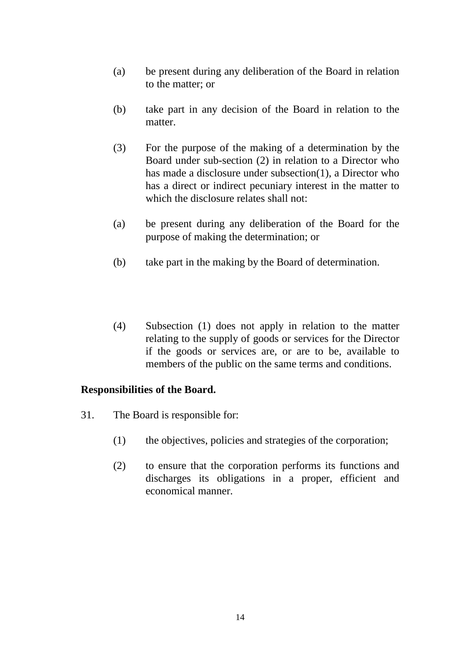- (a) be present during any deliberation of the Board in relation to the matter; or
- (b) take part in any decision of the Board in relation to the matter.
- (3) For the purpose of the making of a determination by the Board under sub-section (2) in relation to a Director who has made a disclosure under subsection(1), a Director who has a direct or indirect pecuniary interest in the matter to which the disclosure relates shall not:
- (a) be present during any deliberation of the Board for the purpose of making the determination; or
- (b) take part in the making by the Board of determination.
- (4) Subsection (1) does not apply in relation to the matter relating to the supply of goods or services for the Director if the goods or services are, or are to be, available to members of the public on the same terms and conditions.

## **Responsibilities of the Board.**

- 31. The Board is responsible for:
	- (1) the objectives, policies and strategies of the corporation;
	- (2) to ensure that the corporation performs its functions and discharges its obligations in a proper, efficient and economical manner.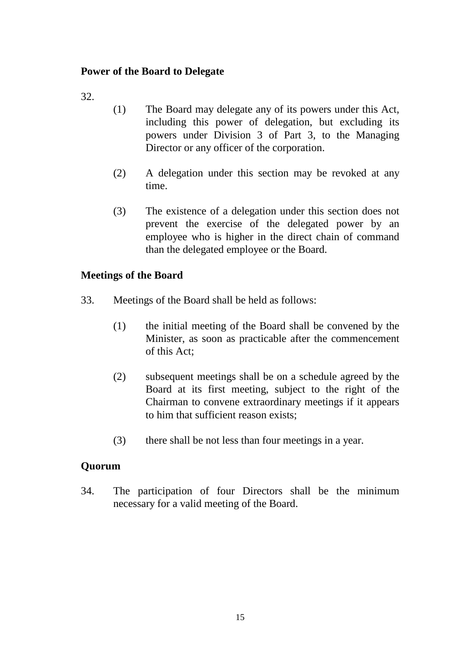## **Power of the Board to Delegate**

32.

- (1) The Board may delegate any of its powers under this Act, including this power of delegation, but excluding its powers under Division 3 of Part 3, to the Managing Director or any officer of the corporation.
- (2) A delegation under this section may be revoked at any time.
- (3) The existence of a delegation under this section does not prevent the exercise of the delegated power by an employee who is higher in the direct chain of command than the delegated employee or the Board.

## **Meetings of the Board**

- 33. Meetings of the Board shall be held as follows:
	- (1) the initial meeting of the Board shall be convened by the Minister, as soon as practicable after the commencement of this Act;
	- (2) subsequent meetings shall be on a schedule agreed by the Board at its first meeting, subject to the right of the Chairman to convene extraordinary meetings if it appears to him that sufficient reason exists;
	- (3) there shall be not less than four meetings in a year.

## **Quorum**

34. The participation of four Directors shall be the minimum necessary for a valid meeting of the Board.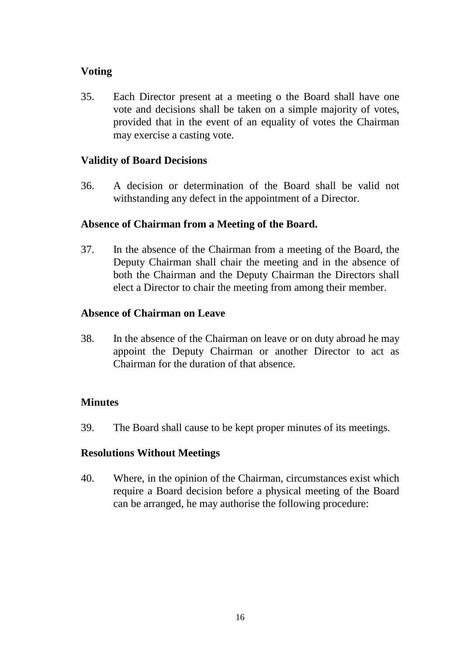## **Voting**

35. Each Director present at a meeting o the Board shall have one vote and decisions shall be taken on a simple majority of votes, provided that in the event of an equality of votes the Chairman may exercise a casting vote.

## **Validity of Board Decisions**

36. A decision or determination of the Board shall be valid not withstanding any defect in the appointment of a Director.

## **Absence of Chairman from a Meeting of the Board.**

37. In the absence of the Chairman from a meeting of the Board, the Deputy Chairman shall chair the meeting and in the absence of both the Chairman and the Deputy Chairman the Directors shall elect a Director to chair the meeting from among their member.

## **Absence of Chairman on Leave**

38. In the absence of the Chairman on leave or on duty abroad he may appoint the Deputy Chairman or another Director to act as Chairman for the duration of that absence.

## **Minutes**

39. The Board shall cause to be kept proper minutes of its meetings.

## **Resolutions Without Meetings**

40. Where, in the opinion of the Chairman, circumstances exist which require a Board decision before a physical meeting of the Board can be arranged, he may authorise the following procedure: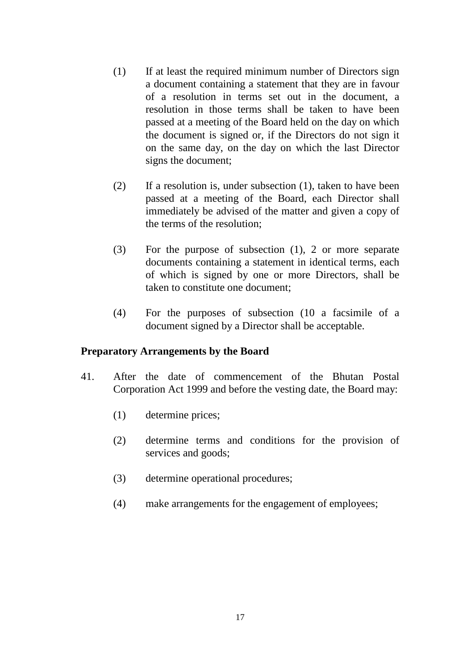- (1) If at least the required minimum number of Directors sign a document containing a statement that they are in favour of a resolution in terms set out in the document, a resolution in those terms shall be taken to have been passed at a meeting of the Board held on the day on which the document is signed or, if the Directors do not sign it on the same day, on the day on which the last Director signs the document;
- (2) If a resolution is, under subsection (1), taken to have been passed at a meeting of the Board, each Director shall immediately be advised of the matter and given a copy of the terms of the resolution;
- (3) For the purpose of subsection (1), 2 or more separate documents containing a statement in identical terms, each of which is signed by one or more Directors, shall be taken to constitute one document;
- (4) For the purposes of subsection (10 a facsimile of a document signed by a Director shall be acceptable.

#### **Preparatory Arrangements by the Board**

- 41. After the date of commencement of the Bhutan Postal Corporation Act 1999 and before the vesting date, the Board may:
	- (1) determine prices;
	- (2) determine terms and conditions for the provision of services and goods;
	- (3) determine operational procedures;
	- (4) make arrangements for the engagement of employees;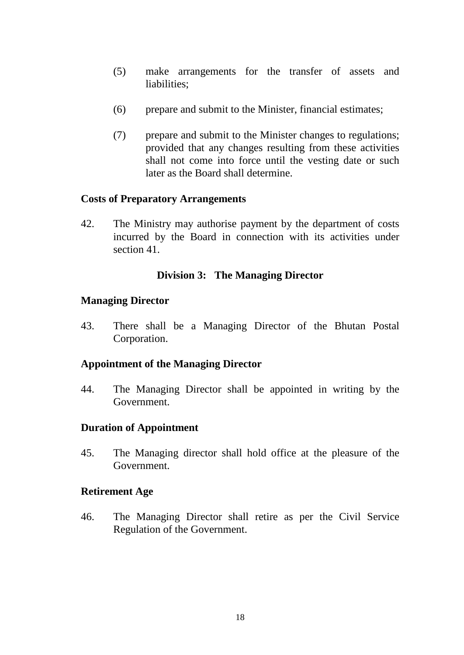- (5) make arrangements for the transfer of assets and liabilities;
- (6) prepare and submit to the Minister, financial estimates;
- (7) prepare and submit to the Minister changes to regulations; provided that any changes resulting from these activities shall not come into force until the vesting date or such later as the Board shall determine.

#### **Costs of Preparatory Arrangements**

42. The Ministry may authorise payment by the department of costs incurred by the Board in connection with its activities under section 41.

#### **Division 3: The Managing Director**

#### **Managing Director**

43. There shall be a Managing Director of the Bhutan Postal Corporation.

## **Appointment of the Managing Director**

44. The Managing Director shall be appointed in writing by the Government.

#### **Duration of Appointment**

45. The Managing director shall hold office at the pleasure of the Government.

#### **Retirement Age**

46. The Managing Director shall retire as per the Civil Service Regulation of the Government.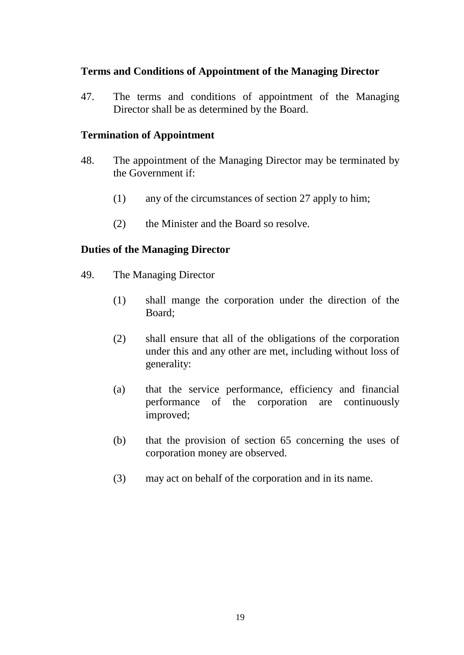## **Terms and Conditions of Appointment of the Managing Director**

47. The terms and conditions of appointment of the Managing Director shall be as determined by the Board.

## **Termination of Appointment**

- 48. The appointment of the Managing Director may be terminated by the Government if:
	- (1) any of the circumstances of section 27 apply to him;
	- (2) the Minister and the Board so resolve.

#### **Duties of the Managing Director**

- 49. The Managing Director
	- (1) shall mange the corporation under the direction of the Board;
	- (2) shall ensure that all of the obligations of the corporation under this and any other are met, including without loss of generality:
	- (a) that the service performance, efficiency and financial performance of the corporation are continuously improved;
	- (b) that the provision of section 65 concerning the uses of corporation money are observed.
	- (3) may act on behalf of the corporation and in its name.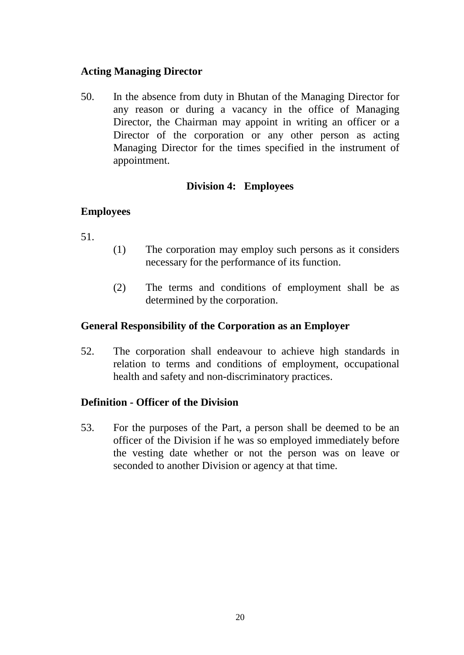## **Acting Managing Director**

50. In the absence from duty in Bhutan of the Managing Director for any reason or during a vacancy in the office of Managing Director, the Chairman may appoint in writing an officer or a Director of the corporation or any other person as acting Managing Director for the times specified in the instrument of appointment.

## **Division 4: Employees**

## **Employees**

- 51.
- (1) The corporation may employ such persons as it considers necessary for the performance of its function.
- (2) The terms and conditions of employment shall be as determined by the corporation.

## **General Responsibility of the Corporation as an Employer**

52. The corporation shall endeavour to achieve high standards in relation to terms and conditions of employment, occupational health and safety and non-discriminatory practices.

## **Definition - Officer of the Division**

53. For the purposes of the Part, a person shall be deemed to be an officer of the Division if he was so employed immediately before the vesting date whether or not the person was on leave or seconded to another Division or agency at that time.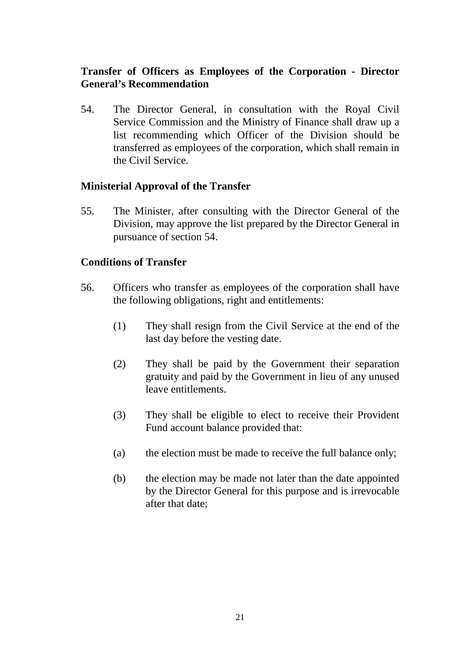## **Transfer of Officers as Employees of the Corporation - Director General's Recommendation**

54. The Director General, in consultation with the Royal Civil Service Commission and the Ministry of Finance shall draw up a list recommending which Officer of the Division should be transferred as employees of the corporation, which shall remain in the Civil Service.

#### **Ministerial Approval of the Transfer**

55. The Minister, after consulting with the Director General of the Division, may approve the list prepared by the Director General in pursuance of section 54.

#### **Conditions of Transfer**

- 56. Officers who transfer as employees of the corporation shall have the following obligations, right and entitlements:
	- (1) They shall resign from the Civil Service at the end of the last day before the vesting date.
	- (2) They shall be paid by the Government their separation gratuity and paid by the Government in lieu of any unused leave entitlements.
	- (3) They shall be eligible to elect to receive their Provident Fund account balance provided that:
	- (a) the election must be made to receive the full balance only;
	- (b) the election may be made not later than the date appointed by the Director General for this purpose and is irrevocable after that date;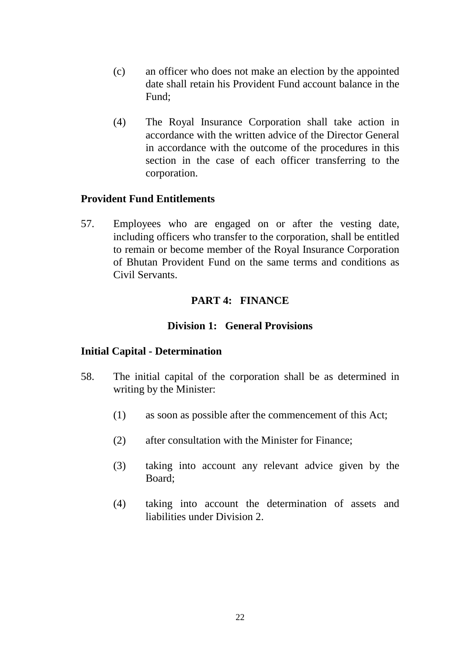- (c) an officer who does not make an election by the appointed date shall retain his Provident Fund account balance in the Fund;
- (4) The Royal Insurance Corporation shall take action in accordance with the written advice of the Director General in accordance with the outcome of the procedures in this section in the case of each officer transferring to the corporation.

#### **Provident Fund Entitlements**

57. Employees who are engaged on or after the vesting date, including officers who transfer to the corporation, shall be entitled to remain or become member of the Royal Insurance Corporation of Bhutan Provident Fund on the same terms and conditions as Civil Servants.

#### **PART 4: FINANCE**

#### **Division 1: General Provisions**

#### **Initial Capital - Determination**

- 58. The initial capital of the corporation shall be as determined in writing by the Minister:
	- (1) as soon as possible after the commencement of this Act;
	- (2) after consultation with the Minister for Finance;
	- (3) taking into account any relevant advice given by the Board;
	- (4) taking into account the determination of assets and liabilities under Division 2.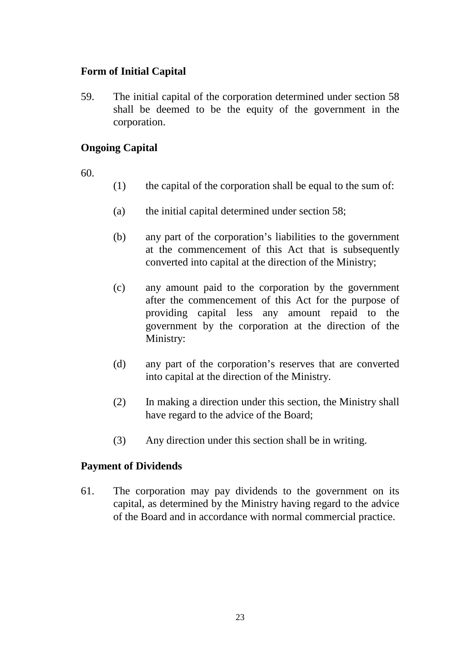## **Form of Initial Capital**

59. The initial capital of the corporation determined under section 58 shall be deemed to be the equity of the government in the corporation.

## **Ongoing Capital**

60.

- (1) the capital of the corporation shall be equal to the sum of:
- (a) the initial capital determined under section 58;
- (b) any part of the corporation's liabilities to the government at the commencement of this Act that is subsequently converted into capital at the direction of the Ministry;
- (c) any amount paid to the corporation by the government after the commencement of this Act for the purpose of providing capital less any amount repaid to the government by the corporation at the direction of the Ministry:
- (d) any part of the corporation's reserves that are converted into capital at the direction of the Ministry.
- (2) In making a direction under this section, the Ministry shall have regard to the advice of the Board;
- (3) Any direction under this section shall be in writing.

## **Payment of Dividends**

61. The corporation may pay dividends to the government on its capital, as determined by the Ministry having regard to the advice of the Board and in accordance with normal commercial practice.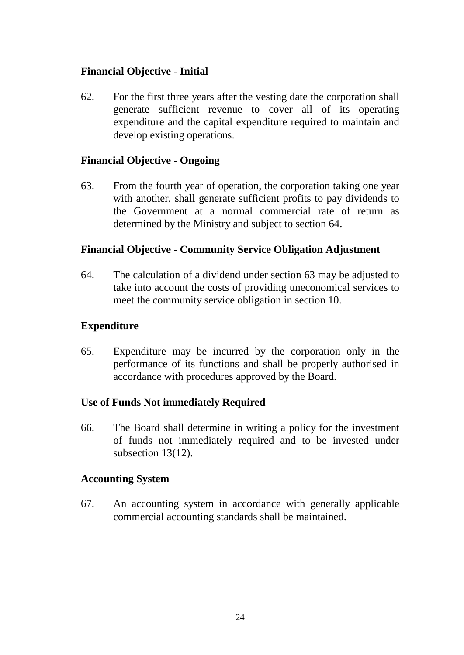## **Financial Objective - Initial**

62. For the first three years after the vesting date the corporation shall generate sufficient revenue to cover all of its operating expenditure and the capital expenditure required to maintain and develop existing operations.

#### **Financial Objective - Ongoing**

63. From the fourth year of operation, the corporation taking one year with another, shall generate sufficient profits to pay dividends to the Government at a normal commercial rate of return as determined by the Ministry and subject to section 64.

#### **Financial Objective - Community Service Obligation Adjustment**

64. The calculation of a dividend under section 63 may be adjusted to take into account the costs of providing uneconomical services to meet the community service obligation in section 10.

#### **Expenditure**

65. Expenditure may be incurred by the corporation only in the performance of its functions and shall be properly authorised in accordance with procedures approved by the Board.

## **Use of Funds Not immediately Required**

66. The Board shall determine in writing a policy for the investment of funds not immediately required and to be invested under subsection 13(12).

#### **Accounting System**

67. An accounting system in accordance with generally applicable commercial accounting standards shall be maintained.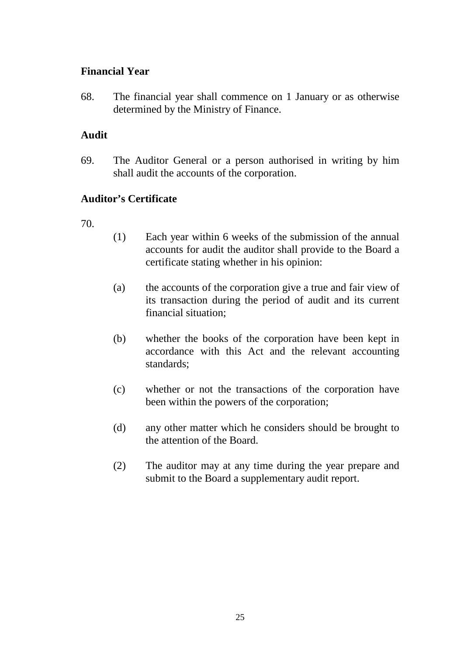## **Financial Year**

68. The financial year shall commence on 1 January or as otherwise determined by the Ministry of Finance.

## **Audit**

69. The Auditor General or a person authorised in writing by him shall audit the accounts of the corporation.

## **Auditor's Certificate**

- 70.
- (1) Each year within 6 weeks of the submission of the annual accounts for audit the auditor shall provide to the Board a certificate stating whether in his opinion:
- (a) the accounts of the corporation give a true and fair view of its transaction during the period of audit and its current financial situation;
- (b) whether the books of the corporation have been kept in accordance with this Act and the relevant accounting standards;
- (c) whether or not the transactions of the corporation have been within the powers of the corporation;
- (d) any other matter which he considers should be brought to the attention of the Board.
- (2) The auditor may at any time during the year prepare and submit to the Board a supplementary audit report.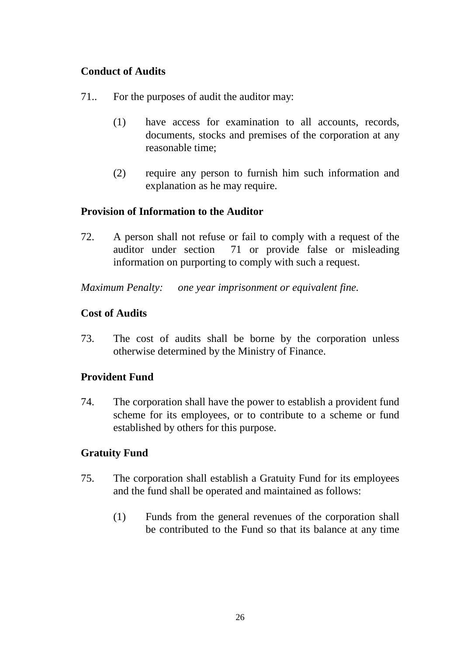## **Conduct of Audits**

- 71.. For the purposes of audit the auditor may:
	- (1) have access for examination to all accounts, records, documents, stocks and premises of the corporation at any reasonable time;
	- (2) require any person to furnish him such information and explanation as he may require.

## **Provision of Information to the Auditor**

72. A person shall not refuse or fail to comply with a request of the auditor under section 71 or provide false or misleading information on purporting to comply with such a request.

*Maximum Penalty: one year imprisonment or equivalent fine.* 

## **Cost of Audits**

73. The cost of audits shall be borne by the corporation unless otherwise determined by the Ministry of Finance.

## **Provident Fund**

74. The corporation shall have the power to establish a provident fund scheme for its employees, or to contribute to a scheme or fund established by others for this purpose.

## **Gratuity Fund**

- 75. The corporation shall establish a Gratuity Fund for its employees and the fund shall be operated and maintained as follows:
	- (1) Funds from the general revenues of the corporation shall be contributed to the Fund so that its balance at any time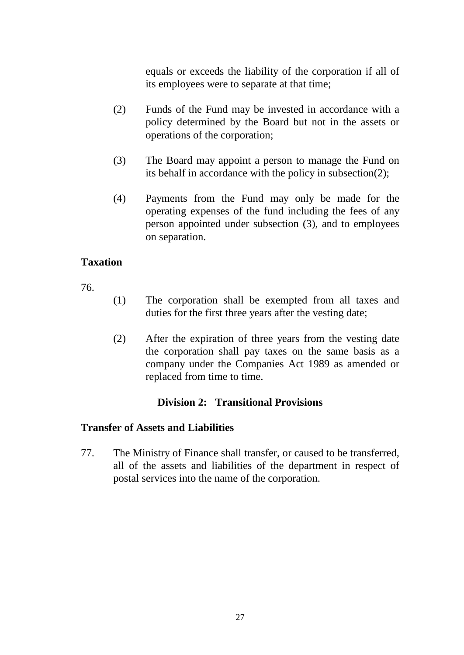equals or exceeds the liability of the corporation if all of its employees were to separate at that time;

- (2) Funds of the Fund may be invested in accordance with a policy determined by the Board but not in the assets or operations of the corporation;
- (3) The Board may appoint a person to manage the Fund on its behalf in accordance with the policy in subsection(2);
- (4) Payments from the Fund may only be made for the operating expenses of the fund including the fees of any person appointed under subsection (3), and to employees on separation.

## **Taxation**

76.

- (1) The corporation shall be exempted from all taxes and duties for the first three years after the vesting date;
- (2) After the expiration of three years from the vesting date the corporation shall pay taxes on the same basis as a company under the Companies Act 1989 as amended or replaced from time to time.

## **Division 2: Transitional Provisions**

## **Transfer of Assets and Liabilities**

77. The Ministry of Finance shall transfer, or caused to be transferred, all of the assets and liabilities of the department in respect of postal services into the name of the corporation.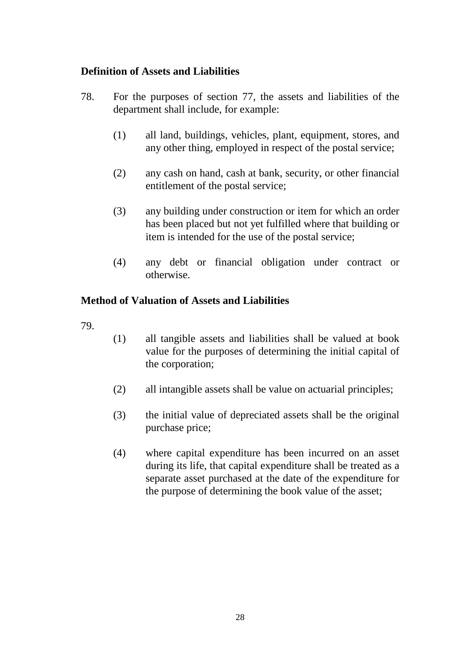## **Definition of Assets and Liabilities**

- 78. For the purposes of section 77, the assets and liabilities of the department shall include, for example:
	- (1) all land, buildings, vehicles, plant, equipment, stores, and any other thing, employed in respect of the postal service;
	- (2) any cash on hand, cash at bank, security, or other financial entitlement of the postal service;
	- (3) any building under construction or item for which an order has been placed but not yet fulfilled where that building or item is intended for the use of the postal service;
	- (4) any debt or financial obligation under contract or otherwise.

## **Method of Valuation of Assets and Liabilities**

- 79.
- (1) all tangible assets and liabilities shall be valued at book value for the purposes of determining the initial capital of the corporation;
- (2) all intangible assets shall be value on actuarial principles;
- (3) the initial value of depreciated assets shall be the original purchase price;
- (4) where capital expenditure has been incurred on an asset during its life, that capital expenditure shall be treated as a separate asset purchased at the date of the expenditure for the purpose of determining the book value of the asset;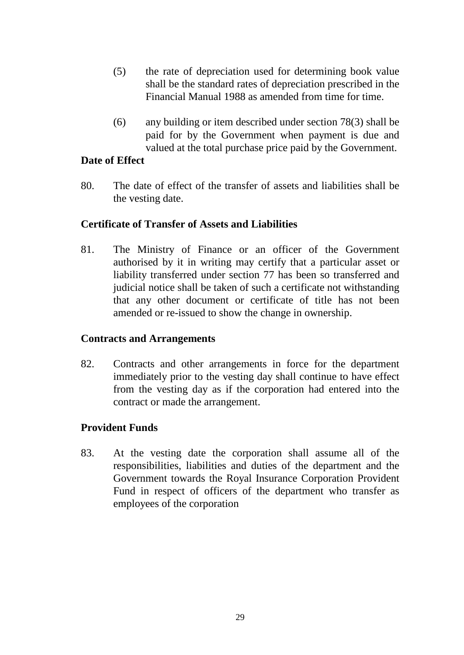- (5) the rate of depreciation used for determining book value shall be the standard rates of depreciation prescribed in the Financial Manual 1988 as amended from time for time.
- (6) any building or item described under section 78(3) shall be paid for by the Government when payment is due and valued at the total purchase price paid by the Government.

#### **Date of Effect**

80. The date of effect of the transfer of assets and liabilities shall be the vesting date.

#### **Certificate of Transfer of Assets and Liabilities**

81. The Ministry of Finance or an officer of the Government authorised by it in writing may certify that a particular asset or liability transferred under section 77 has been so transferred and judicial notice shall be taken of such a certificate not withstanding that any other document or certificate of title has not been amended or re-issued to show the change in ownership.

#### **Contracts and Arrangements**

82. Contracts and other arrangements in force for the department immediately prior to the vesting day shall continue to have effect from the vesting day as if the corporation had entered into the contract or made the arrangement.

## **Provident Funds**

83. At the vesting date the corporation shall assume all of the responsibilities, liabilities and duties of the department and the Government towards the Royal Insurance Corporation Provident Fund in respect of officers of the department who transfer as employees of the corporation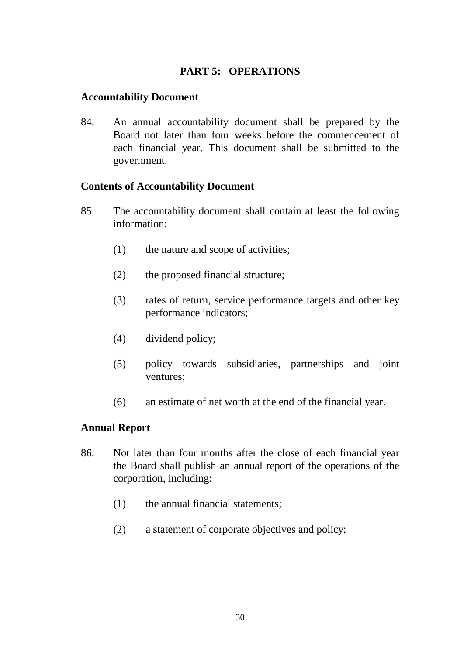## **PART 5: OPERATIONS**

#### **Accountability Document**

84. An annual accountability document shall be prepared by the Board not later than four weeks before the commencement of each financial year. This document shall be submitted to the government.

#### **Contents of Accountability Document**

- 85. The accountability document shall contain at least the following information:
	- (1) the nature and scope of activities;
	- (2) the proposed financial structure;
	- (3) rates of return, service performance targets and other key performance indicators;
	- (4) dividend policy;
	- (5) policy towards subsidiaries, partnerships and joint ventures;
	- (6) an estimate of net worth at the end of the financial year.

#### **Annual Report**

- 86. Not later than four months after the close of each financial year the Board shall publish an annual report of the operations of the corporation, including:
	- (1) the annual financial statements;
	- (2) a statement of corporate objectives and policy;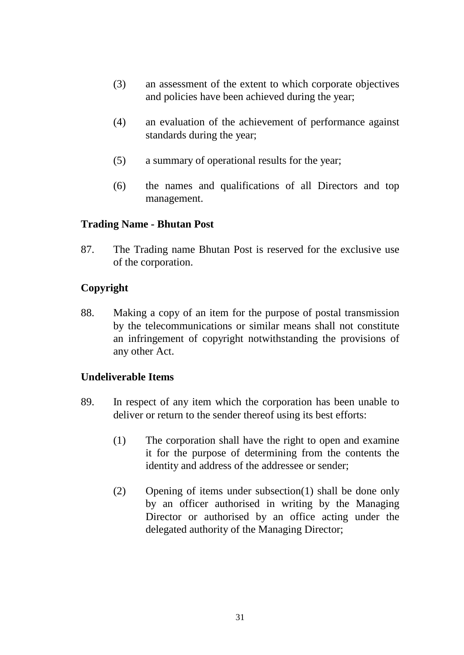- (3) an assessment of the extent to which corporate objectives and policies have been achieved during the year;
- (4) an evaluation of the achievement of performance against standards during the year;
- (5) a summary of operational results for the year;
- (6) the names and qualifications of all Directors and top management.

#### **Trading Name - Bhutan Post**

87. The Trading name Bhutan Post is reserved for the exclusive use of the corporation.

## **Copyright**

88. Making a copy of an item for the purpose of postal transmission by the telecommunications or similar means shall not constitute an infringement of copyright notwithstanding the provisions of any other Act.

## **Undeliverable Items**

- 89. In respect of any item which the corporation has been unable to deliver or return to the sender thereof using its best efforts:
	- (1) The corporation shall have the right to open and examine it for the purpose of determining from the contents the identity and address of the addressee or sender;
	- (2) Opening of items under subsection(1) shall be done only by an officer authorised in writing by the Managing Director or authorised by an office acting under the delegated authority of the Managing Director;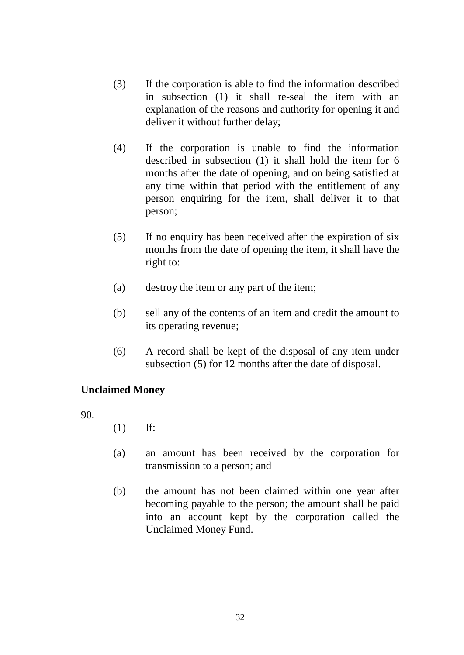- (3) If the corporation is able to find the information described in subsection (1) it shall re-seal the item with an explanation of the reasons and authority for opening it and deliver it without further delay;
- (4) If the corporation is unable to find the information described in subsection (1) it shall hold the item for 6 months after the date of opening, and on being satisfied at any time within that period with the entitlement of any person enquiring for the item, shall deliver it to that person;
- (5) If no enquiry has been received after the expiration of six months from the date of opening the item, it shall have the right to:
- (a) destroy the item or any part of the item;
- (b) sell any of the contents of an item and credit the amount to its operating revenue;
- (6) A record shall be kept of the disposal of any item under subsection (5) for 12 months after the date of disposal.

## **Unclaimed Money**

90.

- (1) If:
- (a) an amount has been received by the corporation for transmission to a person; and
- (b) the amount has not been claimed within one year after becoming payable to the person; the amount shall be paid into an account kept by the corporation called the Unclaimed Money Fund.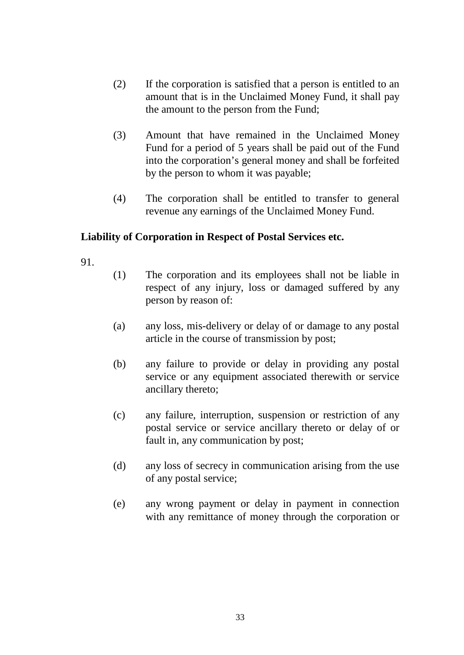- (2) If the corporation is satisfied that a person is entitled to an amount that is in the Unclaimed Money Fund, it shall pay the amount to the person from the Fund;
- (3) Amount that have remained in the Unclaimed Money Fund for a period of 5 years shall be paid out of the Fund into the corporation's general money and shall be forfeited by the person to whom it was payable;
- (4) The corporation shall be entitled to transfer to general revenue any earnings of the Unclaimed Money Fund.

## **Liability of Corporation in Respect of Postal Services etc.**

- 91.
- (1) The corporation and its employees shall not be liable in respect of any injury, loss or damaged suffered by any person by reason of:
- (a) any loss, mis-delivery or delay of or damage to any postal article in the course of transmission by post;
- (b) any failure to provide or delay in providing any postal service or any equipment associated therewith or service ancillary thereto;
- (c) any failure, interruption, suspension or restriction of any postal service or service ancillary thereto or delay of or fault in, any communication by post;
- (d) any loss of secrecy in communication arising from the use of any postal service;
- (e) any wrong payment or delay in payment in connection with any remittance of money through the corporation or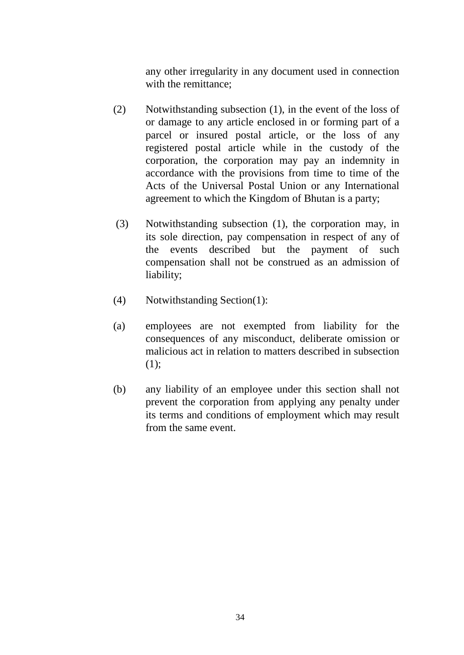any other irregularity in any document used in connection with the remittance;

- (2) Notwithstanding subsection (1), in the event of the loss of or damage to any article enclosed in or forming part of a parcel or insured postal article, or the loss of any registered postal article while in the custody of the corporation, the corporation may pay an indemnity in accordance with the provisions from time to time of the Acts of the Universal Postal Union or any International agreement to which the Kingdom of Bhutan is a party;
- (3) Notwithstanding subsection (1), the corporation may, in its sole direction, pay compensation in respect of any of the events described but the payment of such compensation shall not be construed as an admission of liability;
- (4) Notwithstanding Section(1):
- (a) employees are not exempted from liability for the consequences of any misconduct, deliberate omission or malicious act in relation to matters described in subsection (1);
- (b) any liability of an employee under this section shall not prevent the corporation from applying any penalty under its terms and conditions of employment which may result from the same event.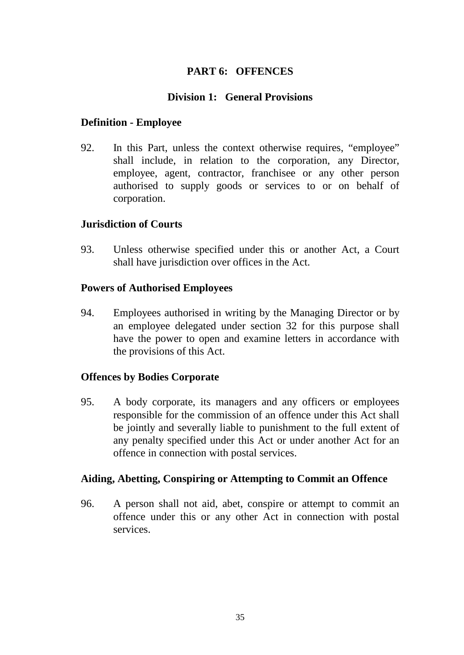## **PART 6: OFFENCES**

## **Division 1: General Provisions**

## **Definition - Employee**

92. In this Part, unless the context otherwise requires, "employee" shall include, in relation to the corporation, any Director, employee, agent, contractor, franchisee or any other person authorised to supply goods or services to or on behalf of corporation.

## **Jurisdiction of Courts**

93. Unless otherwise specified under this or another Act, a Court shall have jurisdiction over offices in the Act.

## **Powers of Authorised Employees**

94. Employees authorised in writing by the Managing Director or by an employee delegated under section 32 for this purpose shall have the power to open and examine letters in accordance with the provisions of this Act.

## **Offences by Bodies Corporate**

95. A body corporate, its managers and any officers or employees responsible for the commission of an offence under this Act shall be jointly and severally liable to punishment to the full extent of any penalty specified under this Act or under another Act for an offence in connection with postal services.

## **Aiding, Abetting, Conspiring or Attempting to Commit an Offence**

96. A person shall not aid, abet, conspire or attempt to commit an offence under this or any other Act in connection with postal services.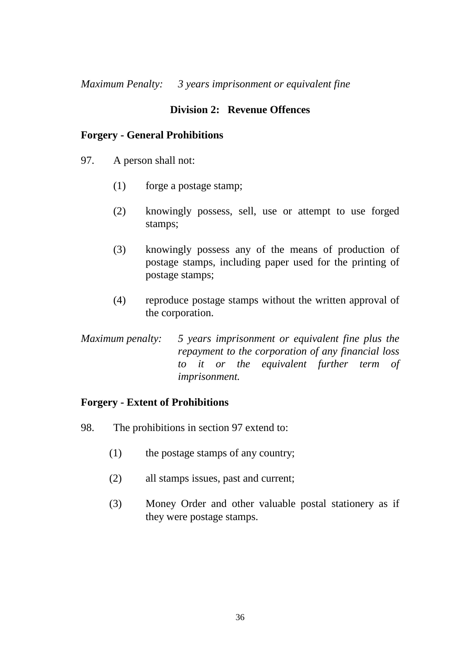*Maximum Penalty: 3 years imprisonment or equivalent fine* 

## **Division 2: Revenue Offences**

#### **Forgery - General Prohibitions**

- 97. A person shall not:
	- (1) forge a postage stamp;
	- (2) knowingly possess, sell, use or attempt to use forged stamps;
	- (3) knowingly possess any of the means of production of postage stamps, including paper used for the printing of postage stamps;
	- (4) reproduce postage stamps without the written approval of the corporation.
- *Maximum penalty: 5 years imprisonment or equivalent fine plus the repayment to the corporation of any financial loss to it or the equivalent further term of imprisonment.*

## **Forgery - Extent of Prohibitions**

- 98. The prohibitions in section 97 extend to:
	- (1) the postage stamps of any country;
	- (2) all stamps issues, past and current;
	- (3) Money Order and other valuable postal stationery as if they were postage stamps.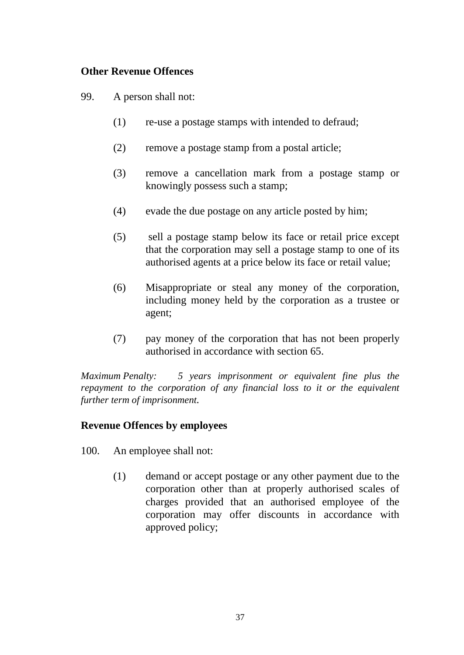## **Other Revenue Offences**

99. A person shall not:

- (1) re-use a postage stamps with intended to defraud;
- (2) remove a postage stamp from a postal article;
- (3) remove a cancellation mark from a postage stamp or knowingly possess such a stamp;
- (4) evade the due postage on any article posted by him;
- (5) sell a postage stamp below its face or retail price except that the corporation may sell a postage stamp to one of its authorised agents at a price below its face or retail value;
- (6) Misappropriate or steal any money of the corporation, including money held by the corporation as a trustee or agent;
- (7) pay money of the corporation that has not been properly authorised in accordance with section 65.

*Maximum Penalty: 5 years imprisonment or equivalent fine plus the repayment to the corporation of any financial loss to it or the equivalent further term of imprisonment.* 

## **Revenue Offences by employees**

- 100. An employee shall not:
	- (1) demand or accept postage or any other payment due to the corporation other than at properly authorised scales of charges provided that an authorised employee of the corporation may offer discounts in accordance with approved policy;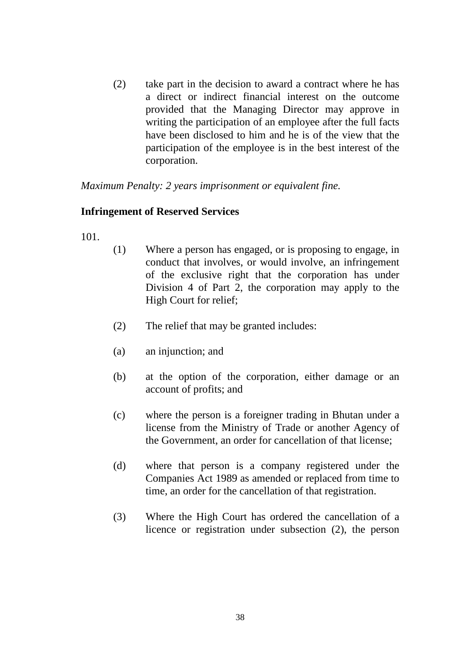(2) take part in the decision to award a contract where he has a direct or indirect financial interest on the outcome provided that the Managing Director may approve in writing the participation of an employee after the full facts have been disclosed to him and he is of the view that the participation of the employee is in the best interest of the corporation.

*Maximum Penalty: 2 years imprisonment or equivalent fine.* 

#### **Infringement of Reserved Services**

101.

- (1) Where a person has engaged, or is proposing to engage, in conduct that involves, or would involve, an infringement of the exclusive right that the corporation has under Division 4 of Part 2, the corporation may apply to the High Court for relief;
- (2) The relief that may be granted includes:
- (a) an injunction; and
- (b) at the option of the corporation, either damage or an account of profits; and
- (c) where the person is a foreigner trading in Bhutan under a license from the Ministry of Trade or another Agency of the Government, an order for cancellation of that license;
- (d) where that person is a company registered under the Companies Act 1989 as amended or replaced from time to time, an order for the cancellation of that registration.
- (3) Where the High Court has ordered the cancellation of a licence or registration under subsection (2), the person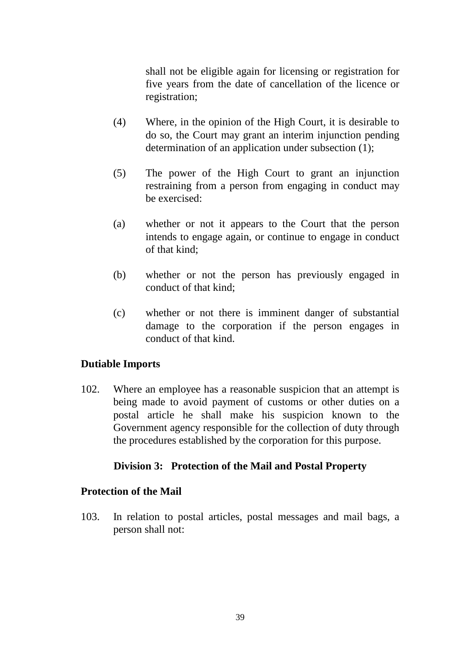shall not be eligible again for licensing or registration for five years from the date of cancellation of the licence or registration;

- (4) Where, in the opinion of the High Court, it is desirable to do so, the Court may grant an interim injunction pending determination of an application under subsection (1);
- (5) The power of the High Court to grant an injunction restraining from a person from engaging in conduct may be exercised:
- (a) whether or not it appears to the Court that the person intends to engage again, or continue to engage in conduct of that kind;
- (b) whether or not the person has previously engaged in conduct of that kind;
- (c) whether or not there is imminent danger of substantial damage to the corporation if the person engages in conduct of that kind.

## **Dutiable Imports**

102. Where an employee has a reasonable suspicion that an attempt is being made to avoid payment of customs or other duties on a postal article he shall make his suspicion known to the Government agency responsible for the collection of duty through the procedures established by the corporation for this purpose.

## **Division 3: Protection of the Mail and Postal Property**

#### **Protection of the Mail**

103. In relation to postal articles, postal messages and mail bags, a person shall not: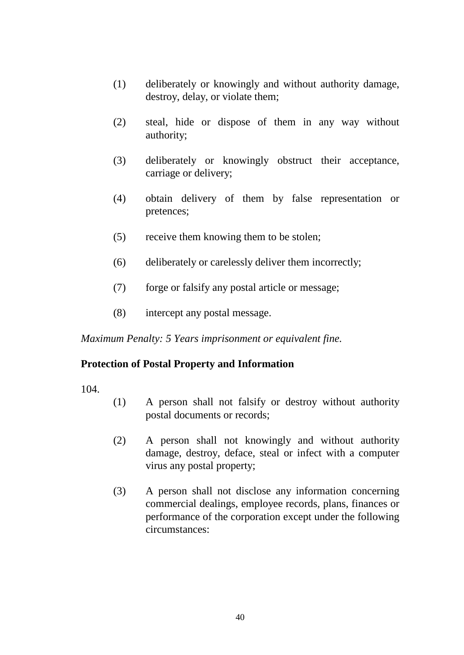- (1) deliberately or knowingly and without authority damage, destroy, delay, or violate them;
- (2) steal, hide or dispose of them in any way without authority;
- (3) deliberately or knowingly obstruct their acceptance, carriage or delivery;
- (4) obtain delivery of them by false representation or pretences;
- (5) receive them knowing them to be stolen;
- (6) deliberately or carelessly deliver them incorrectly;
- (7) forge or falsify any postal article or message;
- (8) intercept any postal message.

*Maximum Penalty: 5 Years imprisonment or equivalent fine.*

## **Protection of Postal Property and Information**

104.

- (1) A person shall not falsify or destroy without authority postal documents or records;
- (2) A person shall not knowingly and without authority damage, destroy, deface, steal or infect with a computer virus any postal property;
- (3) A person shall not disclose any information concerning commercial dealings, employee records, plans, finances or performance of the corporation except under the following circumstances: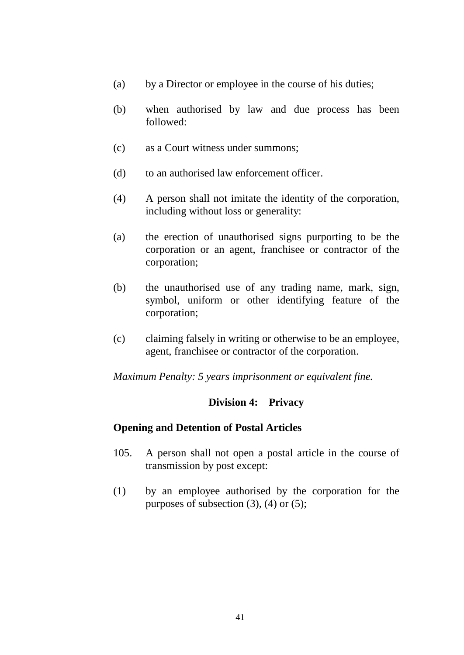- (a) by a Director or employee in the course of his duties;
- (b) when authorised by law and due process has been followed:
- (c) as a Court witness under summons;
- (d) to an authorised law enforcement officer.
- (4) A person shall not imitate the identity of the corporation, including without loss or generality:
- (a) the erection of unauthorised signs purporting to be the corporation or an agent, franchisee or contractor of the corporation;
- (b) the unauthorised use of any trading name, mark, sign, symbol, uniform or other identifying feature of the corporation;
- (c) claiming falsely in writing or otherwise to be an employee, agent, franchisee or contractor of the corporation.

*Maximum Penalty: 5 years imprisonment or equivalent fine.* 

## **Division 4: Privacy**

#### **Opening and Detention of Postal Articles**

- 105. A person shall not open a postal article in the course of transmission by post except:
- (1) by an employee authorised by the corporation for the purposes of subsection  $(3)$ ,  $(4)$  or  $(5)$ ;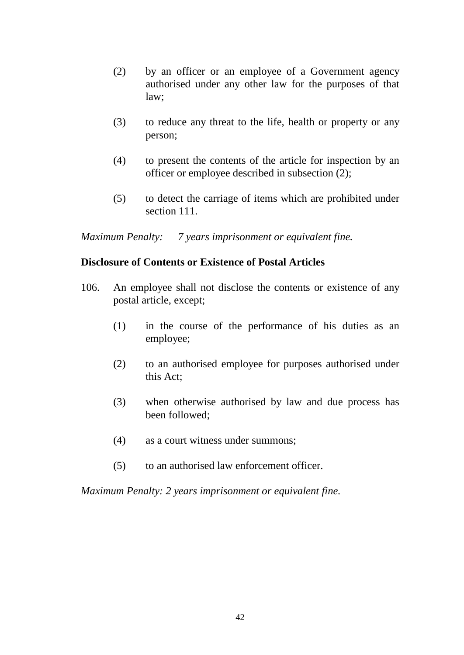- (2) by an officer or an employee of a Government agency authorised under any other law for the purposes of that law;
- (3) to reduce any threat to the life, health or property or any person;
- (4) to present the contents of the article for inspection by an officer or employee described in subsection (2);
- (5) to detect the carriage of items which are prohibited under section 111.

*Maximum Penalty: 7 years imprisonment or equivalent fine.* 

#### **Disclosure of Contents or Existence of Postal Articles**

- 106. An employee shall not disclose the contents or existence of any postal article, except;
	- (1) in the course of the performance of his duties as an employee;
	- (2) to an authorised employee for purposes authorised under this Act;
	- (3) when otherwise authorised by law and due process has been followed;
	- (4) as a court witness under summons;
	- (5) to an authorised law enforcement officer.

*Maximum Penalty: 2 years imprisonment or equivalent fine.*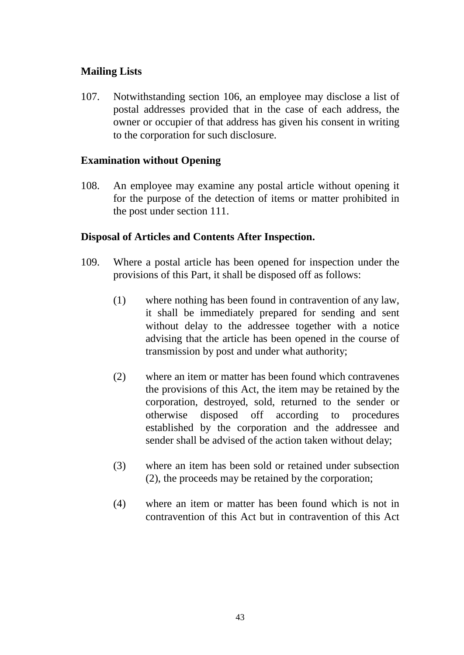## **Mailing Lists**

107. Notwithstanding section 106, an employee may disclose a list of postal addresses provided that in the case of each address, the owner or occupier of that address has given his consent in writing to the corporation for such disclosure.

## **Examination without Opening**

108. An employee may examine any postal article without opening it for the purpose of the detection of items or matter prohibited in the post under section 111.

#### **Disposal of Articles and Contents After Inspection.**

- 109. Where a postal article has been opened for inspection under the provisions of this Part, it shall be disposed off as follows:
	- (1) where nothing has been found in contravention of any law, it shall be immediately prepared for sending and sent without delay to the addressee together with a notice advising that the article has been opened in the course of transmission by post and under what authority;
	- (2) where an item or matter has been found which contravenes the provisions of this Act, the item may be retained by the corporation, destroyed, sold, returned to the sender or otherwise disposed off according to procedures established by the corporation and the addressee and sender shall be advised of the action taken without delay;
	- (3) where an item has been sold or retained under subsection (2), the proceeds may be retained by the corporation;
	- (4) where an item or matter has been found which is not in contravention of this Act but in contravention of this Act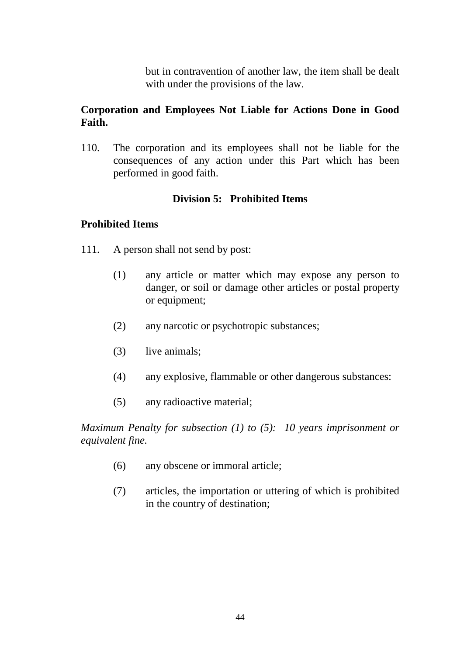but in contravention of another law, the item shall be dealt with under the provisions of the law.

## **Corporation and Employees Not Liable for Actions Done in Good Faith.**

110. The corporation and its employees shall not be liable for the consequences of any action under this Part which has been performed in good faith.

## **Division 5: Prohibited Items**

## **Prohibited Items**

- 111. A person shall not send by post:
	- (1) any article or matter which may expose any person to danger, or soil or damage other articles or postal property or equipment;
	- (2) any narcotic or psychotropic substances;
	- (3) live animals;
	- (4) any explosive, flammable or other dangerous substances:
	- (5) any radioactive material;

*Maximum Penalty for subsection (1) to (5): 10 years imprisonment or equivalent fine.* 

- (6) any obscene or immoral article;
- (7) articles, the importation or uttering of which is prohibited in the country of destination;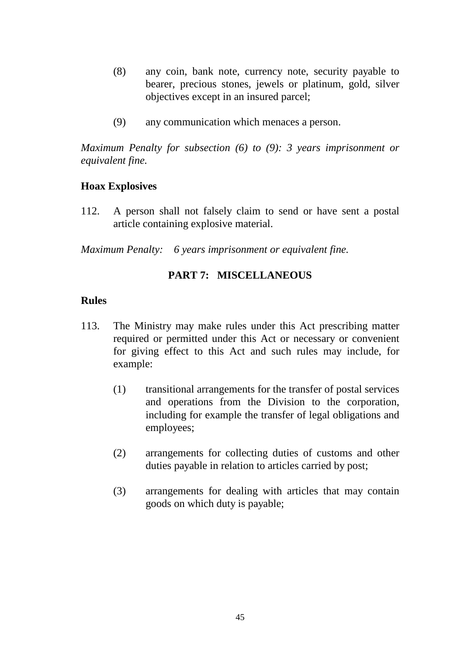- (8) any coin, bank note, currency note, security payable to bearer, precious stones, jewels or platinum, gold, silver objectives except in an insured parcel;
- (9) any communication which menaces a person.

*Maximum Penalty for subsection (6) to (9): 3 years imprisonment or equivalent fine.*

#### **Hoax Explosives**

112. A person shall not falsely claim to send or have sent a postal article containing explosive material.

*Maximum Penalty: 6 years imprisonment or equivalent fine.* 

## **PART 7: MISCELLANEOUS**

#### **Rules**

- 113. The Ministry may make rules under this Act prescribing matter required or permitted under this Act or necessary or convenient for giving effect to this Act and such rules may include, for example:
	- (1) transitional arrangements for the transfer of postal services and operations from the Division to the corporation, including for example the transfer of legal obligations and employees;
	- (2) arrangements for collecting duties of customs and other duties payable in relation to articles carried by post;
	- (3) arrangements for dealing with articles that may contain goods on which duty is payable;